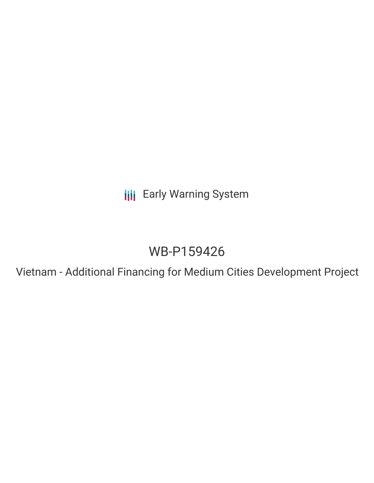**III** Early Warning System

# WB-P159426

Vietnam - Additional Financing for Medium Cities Development Project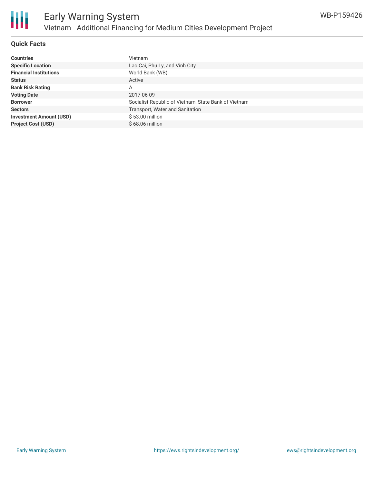

## **Quick Facts**

| <b>Countries</b>               | <b>Vietnam</b>                                       |
|--------------------------------|------------------------------------------------------|
| <b>Specific Location</b>       | Lao Cai, Phu Ly, and Vinh City                       |
| <b>Financial Institutions</b>  | World Bank (WB)                                      |
| <b>Status</b>                  | Active                                               |
| <b>Bank Risk Rating</b>        | А                                                    |
| <b>Voting Date</b>             | 2017-06-09                                           |
| <b>Borrower</b>                | Socialist Republic of Vietnam, State Bank of Vietnam |
| <b>Sectors</b>                 | Transport, Water and Sanitation                      |
| <b>Investment Amount (USD)</b> | \$53.00 million                                      |
| <b>Project Cost (USD)</b>      | $$68.06$ million                                     |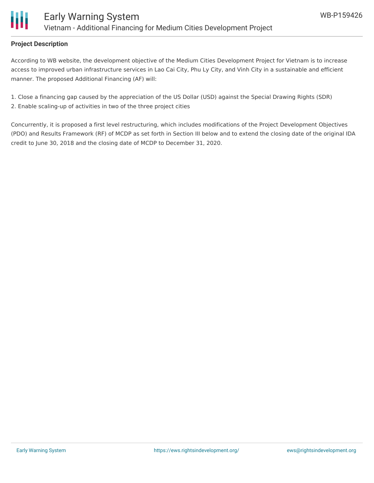

#### **Project Description**

According to WB website, the development objective of the Medium Cities Development Project for Vietnam is to increase access to improved urban infrastructure services in Lao Cai City, Phu Ly City, and Vinh City in a sustainable and efficient manner. The proposed Additional Financing (AF) will:

1. Close a financing gap caused by the appreciation of the US Dollar (USD) against the Special Drawing Rights (SDR) 2. Enable scaling-up of activities in two of the three project cities

Concurrently, it is proposed a first level restructuring, which includes modifications of the Project Development Objectives (PDO) and Results Framework (RF) of MCDP as set forth in Section III below and to extend the closing date of the original IDA credit to June 30, 2018 and the closing date of MCDP to December 31, 2020.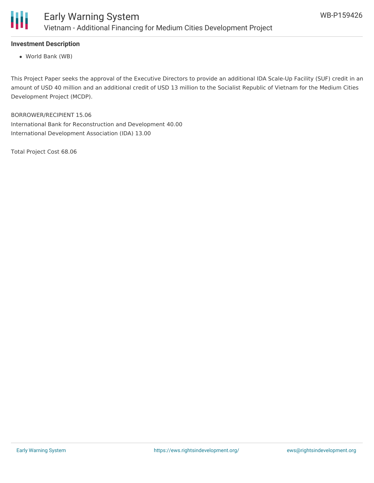

## **Investment Description**

World Bank (WB)

This Project Paper seeks the approval of the Executive Directors to provide an additional IDA Scale-Up Facility (SUF) credit in an amount of USD 40 million and an additional credit of USD 13 million to the Socialist Republic of Vietnam for the Medium Cities Development Project (MCDP).

BORROWER/RECIPIENT 15.06 International Bank for Reconstruction and Development 40.00 International Development Association (IDA) 13.00

Total Project Cost 68.06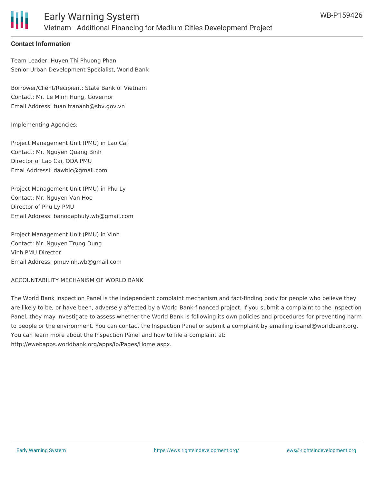

#### **Contact Information**

Team Leader: Huyen Thi Phuong Phan Senior Urban Development Specialist, World Bank

Borrower/Client/Recipient: State Bank of Vietnam Contact: Mr. Le Minh Hung, Governor Email Address: tuan.trananh@sbv.gov.vn

Implementing Agencies:

Project Management Unit (PMU) in Lao Cai Contact: Mr. Nguyen Quang Binh Director of Lao Cai, ODA PMU Emai Addressl: dawblc@gmail.com

Project Management Unit (PMU) in Phu Ly Contact: Mr. Nguyen Van Hoc Director of Phu Ly PMU Email Address: banodaphuly.wb@gmail.com

Project Management Unit (PMU) in Vinh Contact: Mr. Nguyen Trung Dung Vinh PMU Director Email Address: pmuvinh.wb@gmail.com

ACCOUNTABILITY MECHANISM OF WORLD BANK

The World Bank Inspection Panel is the independent complaint mechanism and fact-finding body for people who believe they are likely to be, or have been, adversely affected by a World Bank-financed project. If you submit a complaint to the Inspection Panel, they may investigate to assess whether the World Bank is following its own policies and procedures for preventing harm to people or the environment. You can contact the Inspection Panel or submit a complaint by emailing ipanel@worldbank.org. You can learn more about the Inspection Panel and how to file a complaint at: http://ewebapps.worldbank.org/apps/ip/Pages/Home.aspx.